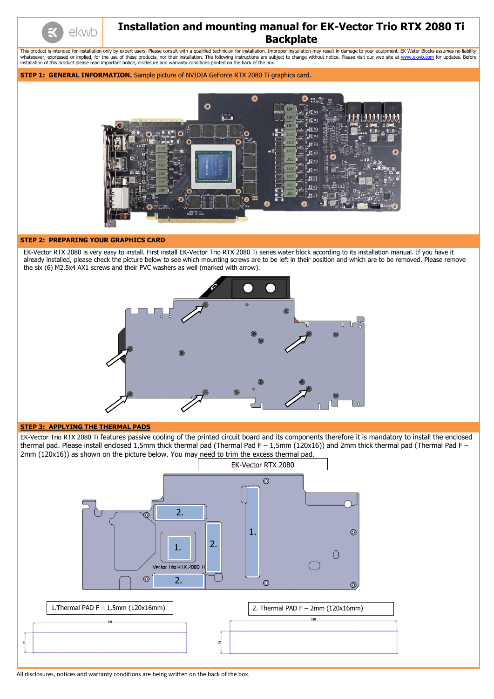All disclosures, notices and warranty conditions are being written on the back of the box.

ekwb

# **Installation and mounting manual for EK-Vector Trio RTX 2080 Ti Backplate**

This product is intended for installation only by expert users. Please consult with a qualified technician for installation. Improper installation may result in damage to your equipment. EK Water Blocks assumes no liabilit whatsoever, expressed or implied, for the use of these products, nor their installation. The following instructions are subject to change without notice. Please visit our web site at [www.ekwb.com](http://www.ekwb.com/) for updates. Before installation of this product please read important notice, disclosure and warranty conditions printed on the back of the box.

## **STEP 1: GENERAL INFORMATION.** Sample picture of NVIDIA GeForce RTX 2080 Ti graphics card.



## **STEP 2: PREPARING YOUR GRAPHICS CARD**

EK-Vector RTX 2080 is very easy to install. First install EK-Vector Trio RTX 2080 Ti series water block according to its installation manual. If you have it already installed, please check the picture below to see which mounting screws are to be left in their position and which are to be removed. Please remove the six (6) M2.5x4 AX1 screws and their PVC washers as well (marked with arrow).



### **STEP 3: APPLYING THE THERMAL PADS**

EK-Vector Trio RTX 2080 Ti features passive cooling of the printed circuit board and its components therefore it is mandatory to install the enclosed thermal pad. Please install enclosed 1,5mm thick thermal pad (Thermal Pad F – 1,5mm (120x16)) and 2mm thick thermal pad (Thermal Pad F – 2mm (120x16)) as shown on the picture below. You may need to trim the excess thermal pad.